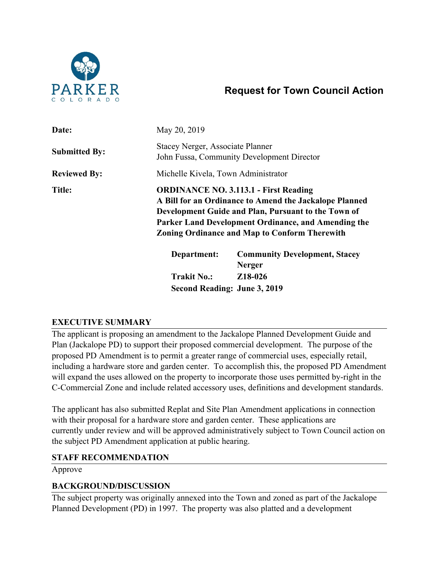

# **Request for Town Council Action**

| Date:                | May 20, 2019                                                                          |                                                                                                                                                                                                                                                                              |  |
|----------------------|---------------------------------------------------------------------------------------|------------------------------------------------------------------------------------------------------------------------------------------------------------------------------------------------------------------------------------------------------------------------------|--|
| <b>Submitted By:</b> | <b>Stacey Nerger, Associate Planner</b><br>John Fussa, Community Development Director |                                                                                                                                                                                                                                                                              |  |
| <b>Reviewed By:</b>  | Michelle Kivela, Town Administrator                                                   |                                                                                                                                                                                                                                                                              |  |
| <b>Title:</b>        |                                                                                       | <b>ORDINANCE NO. 3.113.1 - First Reading</b><br>A Bill for an Ordinance to Amend the Jackalope Planned<br>Development Guide and Plan, Pursuant to the Town of<br>Parker Land Development Ordinance, and Amending the<br><b>Zoning Ordinance and Map to Conform Therewith</b> |  |
|                      | Department:                                                                           | <b>Community Development, Stacey</b><br><b>Nerger</b>                                                                                                                                                                                                                        |  |
|                      | <b>Trakit No.:</b>                                                                    | Z <sub>18</sub> -026                                                                                                                                                                                                                                                         |  |
|                      | Second Reading: June 3, 2019                                                          |                                                                                                                                                                                                                                                                              |  |

# **EXECUTIVE SUMMARY**

The applicant is proposing an amendment to the Jackalope Planned Development Guide and Plan (Jackalope PD) to support their proposed commercial development. The purpose of the proposed PD Amendment is to permit a greater range of commercial uses, especially retail, including a hardware store and garden center. To accomplish this, the proposed PD Amendment will expand the uses allowed on the property to incorporate those uses permitted by-right in the C-Commercial Zone and include related accessory uses, definitions and development standards.

The applicant has also submitted Replat and Site Plan Amendment applications in connection with their proposal for a hardware store and garden center. These applications are currently under review and will be approved administratively subject to Town Council action on the subject PD Amendment application at public hearing.

## **STAFF RECOMMENDATION**

Approve

## **BACKGROUND/DISCUSSION**

The subject property was originally annexed into the Town and zoned as part of the Jackalope Planned Development (PD) in 1997. The property was also platted and a development